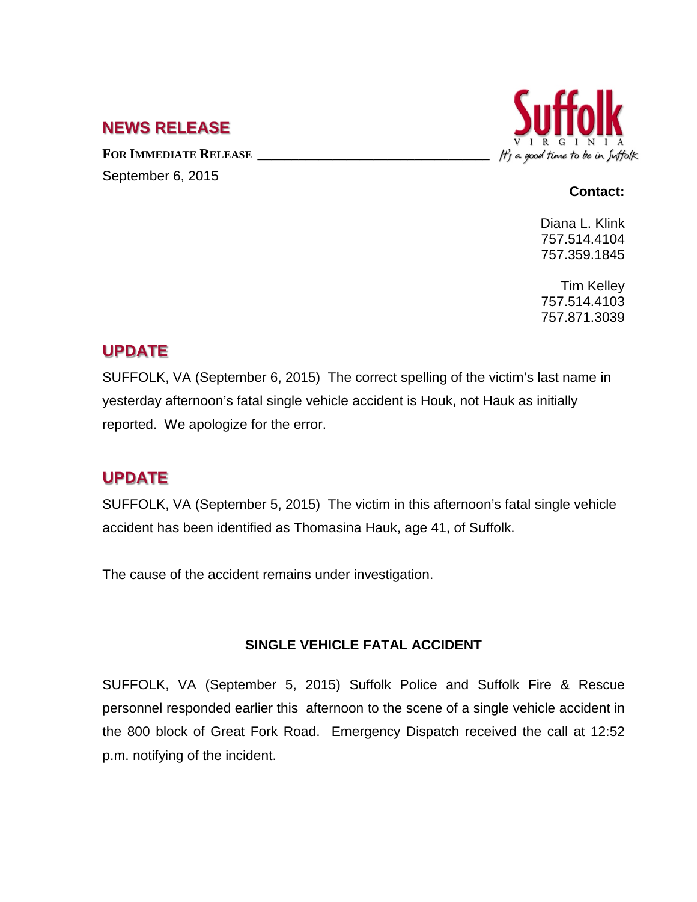### **NEWS RELEASE**

FOR IMMEDIATE RELEASE September 6, 2015



#### **Contact:**

Diana L. Klink 757.514.4104 757.359.1845

Tim Kelley 757.514.4103 757.871.3039

## **UPDATE**

SUFFOLK, VA (September 6, 2015) The correct spelling of the victim's last name in yesterday afternoon's fatal single vehicle accident is Houk, not Hauk as initially reported. We apologize for the error.

# **UPDATE**

SUFFOLK, VA (September 5, 2015) The victim in this afternoon's fatal single vehicle accident has been identified as Thomasina Hauk, age 41, of Suffolk.

The cause of the accident remains under investigation.

#### **SINGLE VEHICLE FATAL ACCIDENT**

SUFFOLK, VA (September 5, 2015) Suffolk Police and Suffolk Fire & Rescue personnel responded earlier this afternoon to the scene of a single vehicle accident in the 800 block of Great Fork Road. Emergency Dispatch received the call at 12:52 p.m. notifying of the incident.